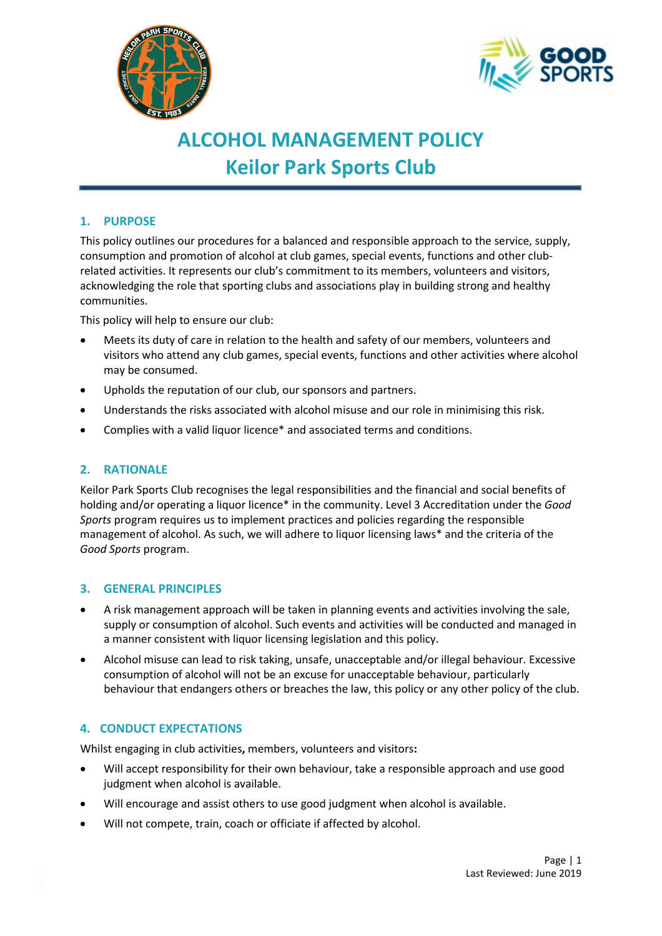



# **ALCOHOL MANAGEMENT POLICY Keilor Park Sports Club**

# **1. PURPOSE**

This policy outlines our procedures for a balanced and responsible approach to the service, supply, consumption and promotion of alcohol at club games, special events, functions and other clubrelated activities. It represents our club's commitment to its members, volunteers and visitors, acknowledging the role that sporting clubs and associations play in building strong and healthy communities.

This policy will help to ensure our club:

- Meets its duty of care in relation to the health and safety of our members, volunteers and visitors who attend any club games, special events, functions and other activities where alcohol may be consumed.
- Upholds the reputation of our club, our sponsors and partners.
- Understands the risks associated with alcohol misuse and our role in minimising this risk.
- Complies with a valid liquor licence\* and associated terms and conditions.

# **2. RATIONALE**

Keilor Park Sports Club recognises the legal responsibilities and the financial and social benefits of holding and/or operating a liquor licence\* in the community. Level 3 Accreditation under the *Good Sports* program requires us to implement practices and policies regarding the responsible management of alcohol. As such, we will adhere to liquor licensing laws\* and the criteria of the *Good Sports* program.

## **3. GENERAL PRINCIPLES**

- A risk management approach will be taken in planning events and activities involving the sale, supply or consumption of alcohol. Such events and activities will be conducted and managed in a manner consistent with liquor licensing legislation and this policy.
- Alcohol misuse can lead to risk taking, unsafe, unacceptable and/or illegal behaviour. Excessive consumption of alcohol will not be an excuse for unacceptable behaviour, particularly behaviour that endangers others or breaches the law, this policy or any other policy of the club.

# **4. CONDUCT EXPECTATIONS**

Whilst engaging in club activities**,** members, volunteers and visitors**:**

- Will accept responsibility for their own behaviour, take a responsible approach and use good judgment when alcohol is available.
- Will encourage and assist others to use good judgment when alcohol is available.
- Will not compete, train, coach or officiate if affected by alcohol.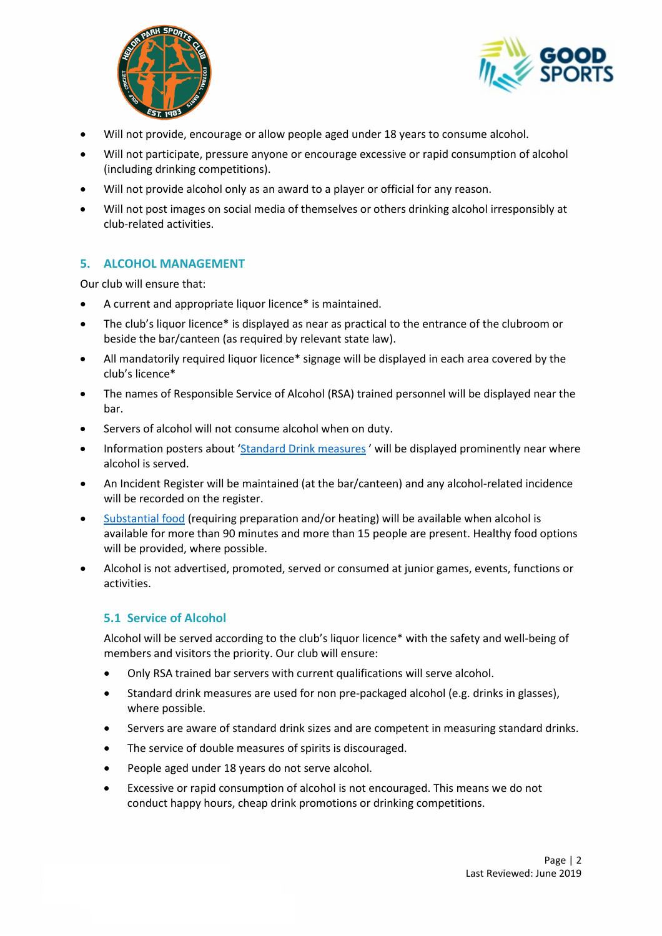



- Will not provide, encourage or allow people aged under 18 years to consume alcohol.
- Will not participate, pressure anyone or encourage excessive or rapid consumption of alcohol (including drinking competitions).
- Will not provide alcohol only as an award to a player or official for any reason.
- Will not post images on social media of themselves or others drinking alcohol irresponsibly at club-related activities.

## **5. ALCOHOL MANAGEMENT**

Our club will ensure that:

- A current and appropriate liquor licence\* is maintained.
- The club's liquor licence\* is displayed as near as practical to the entrance of the clubroom or beside the bar/canteen (as required by relevant state law).
- All mandatorily required liquor licence\* signage will be displayed in each area covered by the club's licence\*
- The names of Responsible Service of Alcohol (RSA) trained personnel will be displayed near the bar.
- Servers of alcohol will not consume alcohol when on duty.
- Information posters about ['Standard Drink measures](file://ADF-FILE/adf/Community%20Programs/Good%20Sports/MARKETING/Merchandise/Designs/2015/Double%20sided%20accreditation%20poster/ADF112%20Standard%20Drinks%20Poster%20A4%20ART-2_FINAL.pdf)' will be displayed prominently near where alcohol is served.
- An Incident Register will be maintained (at the bar/canteen) and any alcohol-related incidence will be recorded on the register.
- Substantial food (requiring preparation and/or heating) will be available when alcohol is available for more than 90 minutes and more than 15 people are present. Healthy food options will be provided, where possible.
- Alcohol is not advertised, promoted, served or consumed at junior games, events, functions or activities.

## **5.1 Service of Alcohol**

Alcohol will be served according to the club's liquor licence\* with the safety and well-being of members and visitors the priority. Our club will ensure:

- Only RSA trained bar servers with current qualifications will serve alcohol.
- Standard drink measures are used for non pre-packaged alcohol (e.g. drinks in glasses), where possible.
- Servers are aware of standard drink sizes and are competent in measuring standard drinks.
- The service of double measures of spirits is discouraged.
- People aged under 18 years do not serve alcohol.
- Excessive or rapid consumption of alcohol is not encouraged. This means we do not conduct happy hours, cheap drink promotions or drinking competitions.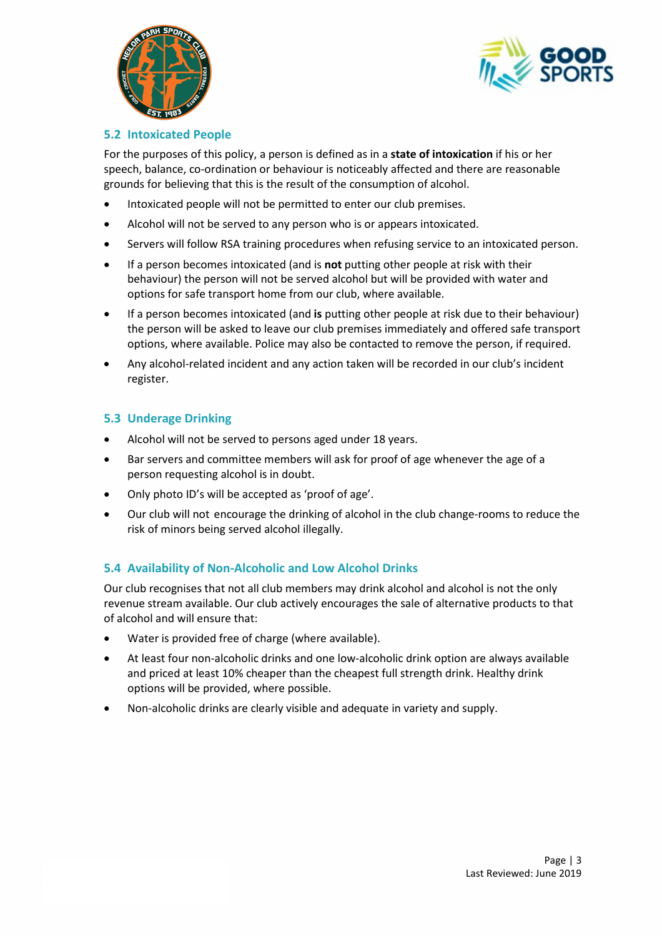



## **5.2 Intoxicated People**

For the purposes of this policy, a person is defined as in a **state of intoxication** if his or her speech, balance, co-ordination or behaviour is noticeably affected and there are reasonable grounds for believing that this is the result of the consumption of alcohol.

- Intoxicated people will not be permitted to enter our club premises.
- Alcohol will not be served to any person who is or appears intoxicated.
- Servers will follow RSA training procedures when refusing service to an intoxicated person.
- If a person becomes intoxicated (and is **not** putting other people at risk with their behaviour) the person will not be served alcohol but will be provided with water and options for safe transport home from our club, where available.
- If a person becomes intoxicated (and **is** putting other people at risk due to their behaviour) the person will be asked to leave our club premises immediately and offered safe transport options, where available. Police may also be contacted to remove the person, if required.
- Any alcohol-related incident and any action taken will be recorded in our club's incident register.

# **5.3 Underage Drinking**

- Alcohol will not be served to persons aged under 18 years.
- Bar servers and committee members will ask for proof of age whenever the age of a person requesting alcohol is in doubt.
- Only photo ID's will be accepted as 'proof of age'.
- Our club will not encourage the drinking of alcohol in the club change-rooms to reduce the risk of minors being served alcohol illegally.

# **5.4 Availability of Non-Alcoholic and Low Alcohol Drinks**

Our club recognises that not all club members may drink alcohol and alcohol is not the only revenue stream available. Our club actively encourages the sale of alternative products to that of alcohol and will ensure that:

- Water is provided free of charge (where available).
- At least four non-alcoholic drinks and one low-alcoholic drink option are always available and priced at least 10% cheaper than the cheapest full strength drink. Healthy drink options will be provided, where possible.
- Non-alcoholic drinks are clearly visible and adequate in variety and supply.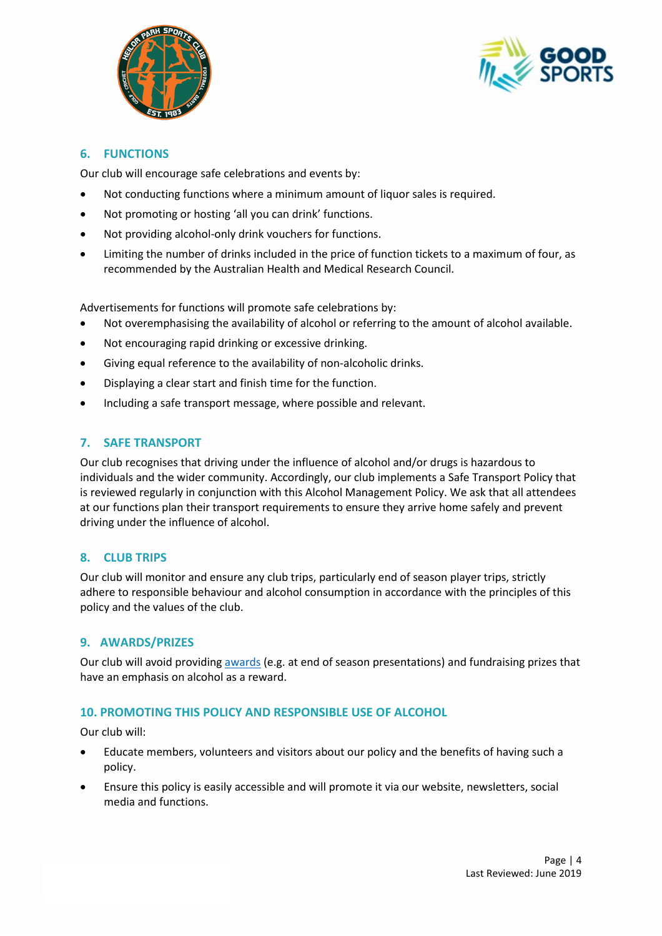



## **6. FUNCTIONS**

Our club will encourage safe celebrations and events by:

- Not conducting functions where a minimum amount of liquor sales is required.
- Not promoting or hosting 'all you can drink' functions.
- Not providing alcohol-only drink vouchers for functions.
- Limiting the number of drinks included in the price of function tickets to a maximum of four, as recommended by the Australian Health and Medical Research Council.

Advertisements for functions will promote safe celebrations by:

- Not overemphasising the availability of alcohol or referring to the amount of alcohol available.
- Not encouraging rapid drinking or excessive drinking.
- Giving equal reference to the availability of non-alcoholic drinks.
- Displaying a clear start and finish time for the function.
- Including a safe transport message, where possible and relevant.

## **7. SAFE TRANSPORT**

Our club recognises that driving under the influence of alcohol and/or drugs is hazardous to individuals and the wider community. Accordingly, our club implements a Safe Transport Policy that is reviewed regularly in conjunction with this Alcohol Management Policy. We ask that all attendees at our functions plan their transport requirements to ensure they arrive home safely and prevent driving under the influence of alcohol.

## **8. CLUB TRIPS**

Our club will monitor and ensure any club trips, particularly end of season player trips, strictly adhere to responsible behaviour and alcohol consumption in accordance with the principles of this policy and the values of the club.

## **9. AWARDS/PRIZES**

Our club will avoid providing [awards](http://goodsports.com.au/resources/alternatives-alcohol-prizes/) (e.g. at end of season presentations) and fundraising prizes that have an emphasis on alcohol as a reward.

## **10. PROMOTING THIS POLICY AND RESPONSIBLE USE OF ALCOHOL**

Our club will:

- Educate members, volunteers and visitors about our policy and the benefits of having such a policy.
- Ensure this policy is easily accessible and will promote it via our website, newsletters, social media and functions.